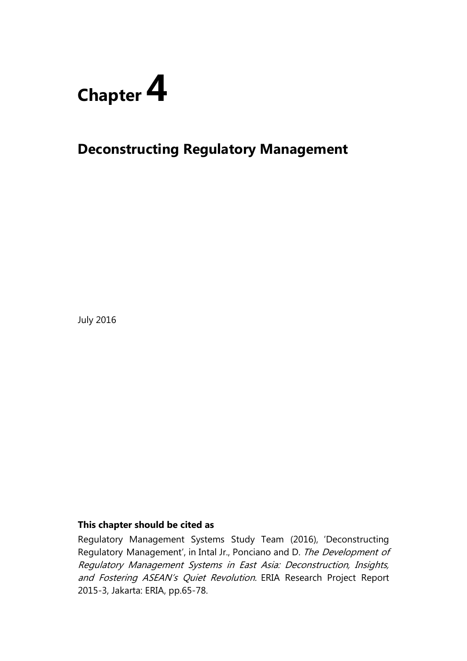

# **Deconstructing Regulatory Management**

July 2016

### **This chapter should be cited as**

Regulatory Management Systems Study Team (2016), 'Deconstructing Regulatory Management', in Intal Jr., Ponciano and D. The Development of Regulatory Management Systems in East Asia: Deconstruction, Insights, and Fostering ASEAN's Quiet Revolution. ERIA Research Project Report 2015-3, Jakarta: ERIA, pp.65-78.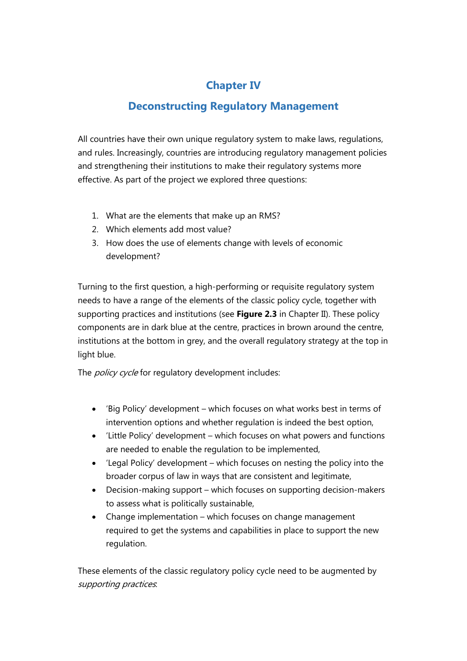## **Chapter IV**

## **Deconstructing Regulatory Management**

All countries have their own unique regulatory system to make laws, regulations, and rules. Increasingly, countries are introducing regulatory management policies and strengthening their institutions to make their regulatory systems more effective. As part of the project we explored three questions:

- 1. What are the elements that make up an RMS?
- 2. Which elements add most value?
- 3. How does the use of elements change with levels of economic development?

Turning to the first question, a high-performing or requisite regulatory system needs to have a range of the elements of the classic policy cycle, together with supporting practices and institutions (see **Figure 2.3** in Chapter II). These policy components are in dark blue at the centre, practices in brown around the centre, institutions at the bottom in grey, and the overall regulatory strategy at the top in light blue.

The *policy cycle* for regulatory development includes:

- 'Big Policy' development which focuses on what works best in terms of intervention options and whether regulation is indeed the best option,
- 'Little Policy' development which focuses on what powers and functions are needed to enable the regulation to be implemented,
- 'Legal Policy' development which focuses on nesting the policy into the broader corpus of law in ways that are consistent and legitimate,
- Decision-making support which focuses on supporting decision-makers to assess what is politically sustainable,
- Change implementation which focuses on change management required to get the systems and capabilities in place to support the new regulation.

These elements of the classic regulatory policy cycle need to be augmented by supporting practices: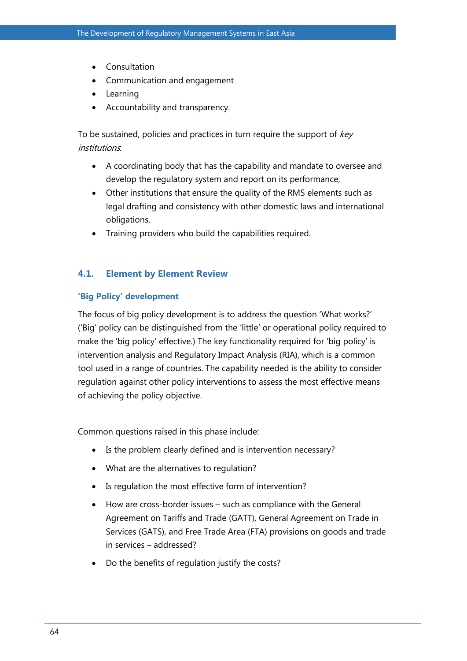- Consultation
- Communication and engagement
- Learning
- Accountability and transparency.

To be sustained, policies and practices in turn require the support of key institutions:

- A coordinating body that has the capability and mandate to oversee and develop the regulatory system and report on its performance,
- Other institutions that ensure the quality of the RMS elements such as legal drafting and consistency with other domestic laws and international obligations,
- Training providers who build the capabilities required.

### **4.1. Element by Element Review**

### **'Big Policy' development**

The focus of big policy development is to address the question 'What works?' ('Big' policy can be distinguished from the 'little' or operational policy required to make the 'big policy' effective.) The key functionality required for 'big policy' is intervention analysis and Regulatory Impact Analysis (RIA), which is a common tool used in a range of countries. The capability needed is the ability to consider regulation against other policy interventions to assess the most effective means of achieving the policy objective.

Common questions raised in this phase include:

- Is the problem clearly defined and is intervention necessary?
- What are the alternatives to regulation?
- Is regulation the most effective form of intervention?
- How are cross-border issues such as compliance with the General Agreement on Tariffs and Trade (GATT), General Agreement on Trade in Services (GATS), and Free Trade Area (FTA) provisions on goods and trade in services – addressed?
- Do the benefits of regulation justify the costs?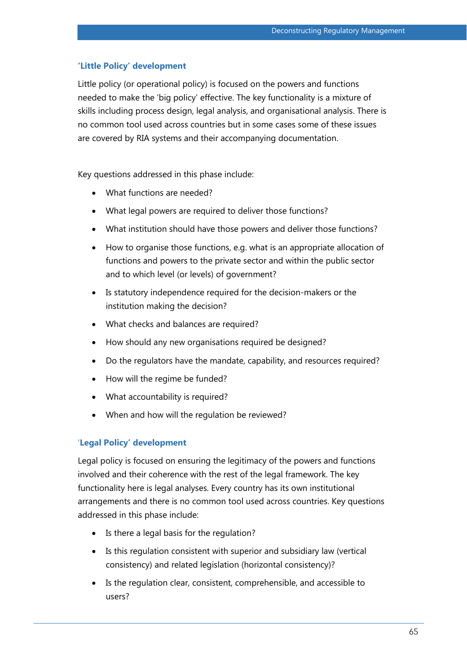### **'Little Policy' development**

Little policy (or operational policy) is focused on the powers and functions needed to make the 'big policy' effective. The key functionality is a mixture of skills including process design, legal analysis, and organisational analysis. There is no common tool used across countries but in some cases some of these issues are covered by RIA systems and their accompanying documentation.

Key questions addressed in this phase include:

- What functions are needed?
- What legal powers are required to deliver those functions?
- What institution should have those powers and deliver those functions?
- How to organise those functions, e.g. what is an appropriate allocation of functions and powers to the private sector and within the public sector and to which level (or levels) of government?
- Is statutory independence required for the decision-makers or the institution making the decision?
- What checks and balances are required?
- How should any new organisations required be designed?
- Do the regulators have the mandate, capability, and resources required?
- How will the regime be funded?
- What accountability is required?
- When and how will the regulation be reviewed?

#### '**Legal Policy' development**

Legal policy is focused on ensuring the legitimacy of the powers and functions involved and their coherence with the rest of the legal framework. The key functionality here is legal analyses. Every country has its own institutional arrangements and there is no common tool used across countries. Key questions addressed in this phase include:

- Is there a legal basis for the regulation?
- Is this regulation consistent with superior and subsidiary law (vertical consistency) and related legislation (horizontal consistency)?
- Is the regulation clear, consistent, comprehensible, and accessible to users?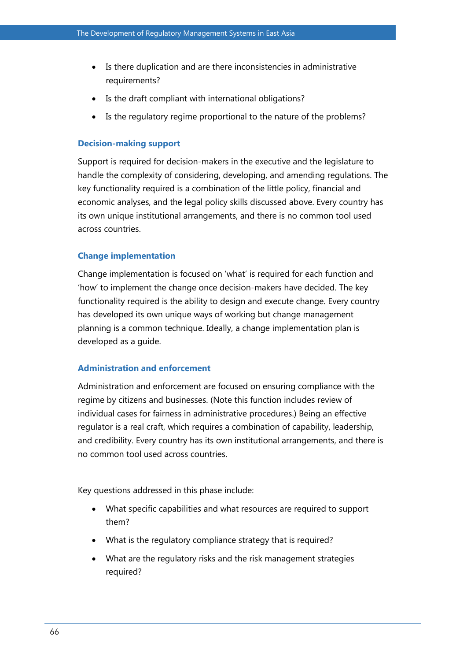- Is there duplication and are there inconsistencies in administrative requirements?
- Is the draft compliant with international obligations?
- Is the regulatory regime proportional to the nature of the problems?

### **Decision-making support**

Support is required for decision-makers in the executive and the legislature to handle the complexity of considering, developing, and amending regulations. The key functionality required is a combination of the little policy, financial and economic analyses, and the legal policy skills discussed above. Every country has its own unique institutional arrangements, and there is no common tool used across countries.

### **Change implementation**

Change implementation is focused on 'what' is required for each function and 'how' to implement the change once decision-makers have decided. The key functionality required is the ability to design and execute change. Every country has developed its own unique ways of working but change management planning is a common technique. Ideally, a change implementation plan is developed as a guide.

### **Administration and enforcement**

Administration and enforcement are focused on ensuring compliance with the regime by citizens and businesses. (Note this function includes review of individual cases for fairness in administrative procedures.) Being an effective regulator is a real craft, which requires a combination of capability, leadership, and credibility. Every country has its own institutional arrangements, and there is no common tool used across countries.

Key questions addressed in this phase include:

- What specific capabilities and what resources are required to support them?
- What is the regulatory compliance strategy that is required?
- What are the regulatory risks and the risk management strategies required?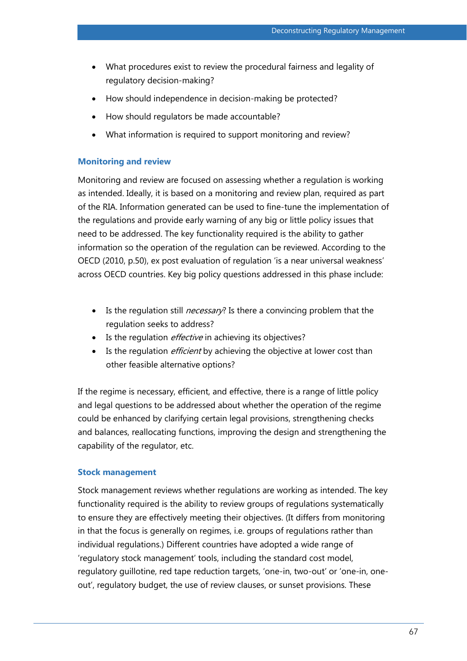- What procedures exist to review the procedural fairness and legality of regulatory decision-making?
- How should independence in decision-making be protected?
- How should regulators be made accountable?
- What information is required to support monitoring and review?

#### **Monitoring and review**

Monitoring and review are focused on assessing whether a regulation is working as intended. Ideally, it is based on a monitoring and review plan, required as part of the RIA. Information generated can be used to fine-tune the implementation of the regulations and provide early warning of any big or little policy issues that need to be addressed. The key functionality required is the ability to gather information so the operation of the regulation can be reviewed. According to the OECD (2010, p.50), ex post evaluation of regulation 'is a near universal weakness' across OECD countries. Key big policy questions addressed in this phase include:

- Is the regulation still *necessary*? Is there a convincing problem that the regulation seeks to address?
- Is the regulation *effective* in achieving its objectives?
- Is the regulation *efficient* by achieving the objective at lower cost than other feasible alternative options?

If the regime is necessary, efficient, and effective, there is a range of little policy and legal questions to be addressed about whether the operation of the regime could be enhanced by clarifying certain legal provisions, strengthening checks and balances, reallocating functions, improving the design and strengthening the capability of the regulator, etc.

#### **Stock management**

Stock management reviews whether regulations are working as intended. The key functionality required is the ability to review groups of regulations systematically to ensure they are effectively meeting their objectives. (It differs from monitoring in that the focus is generally on regimes, i.e. groups of regulations rather than individual regulations.) Different countries have adopted a wide range of 'regulatory stock management' tools, including the standard cost model, regulatory guillotine, red tape reduction targets, 'one-in, two-out' or 'one-in, oneout', regulatory budget, the use of review clauses, or sunset provisions. These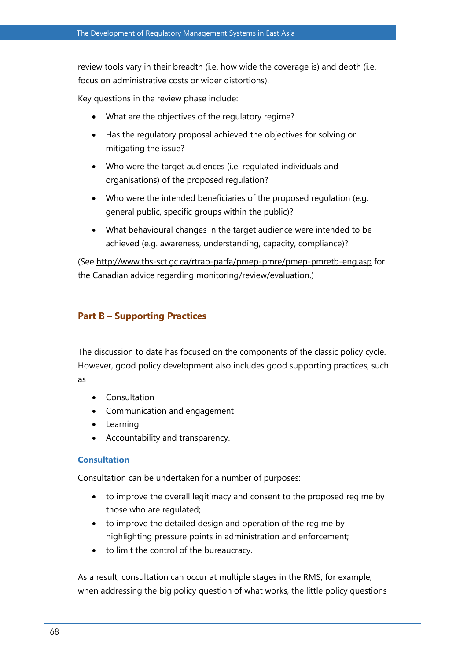review tools vary in their breadth (i.e. how wide the coverage is) and depth (i.e. focus on administrative costs or wider distortions).

Key questions in the review phase include:

- What are the objectives of the regulatory regime?
- Has the regulatory proposal achieved the objectives for solving or mitigating the issue?
- Who were the target audiences (i.e. regulated individuals and organisations) of the proposed regulation?
- Who were the intended beneficiaries of the proposed regulation (e.g. general public, specific groups within the public)?
- What behavioural changes in the target audience were intended to be achieved (e.g. awareness, understanding, capacity, compliance)?

(See<http://www.tbs-sct.gc.ca/rtrap-parfa/pmep-pmre/pmep-pmretb-eng.asp> for the Canadian advice regarding monitoring/review/evaluation.)

### **Part B – Supporting Practices**

The discussion to date has focused on the components of the classic policy cycle. However, good policy development also includes good supporting practices, such as

- Consultation
- Communication and engagement
- Learning
- Accountability and transparency.

### **Consultation**

Consultation can be undertaken for a number of purposes:

- to improve the overall legitimacy and consent to the proposed regime by those who are regulated;
- to improve the detailed design and operation of the regime by highlighting pressure points in administration and enforcement;
- to limit the control of the bureaucracy.

As a result, consultation can occur at multiple stages in the RMS; for example, when addressing the big policy question of what works, the little policy questions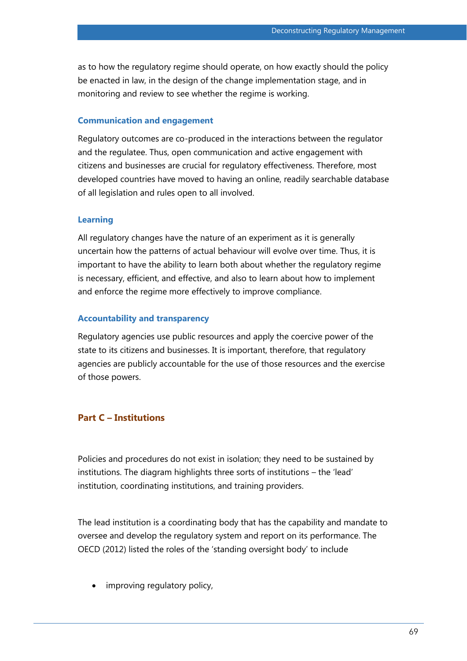as to how the regulatory regime should operate, on how exactly should the policy be enacted in law, in the design of the change implementation stage, and in monitoring and review to see whether the regime is working.

#### **Communication and engagement**

Regulatory outcomes are co-produced in the interactions between the regulator and the regulatee. Thus, open communication and active engagement with citizens and businesses are crucial for regulatory effectiveness. Therefore, most developed countries have moved to having an online, readily searchable database of all legislation and rules open to all involved.

#### **Learning**

All regulatory changes have the nature of an experiment as it is generally uncertain how the patterns of actual behaviour will evolve over time. Thus, it is important to have the ability to learn both about whether the regulatory regime is necessary, efficient, and effective, and also to learn about how to implement and enforce the regime more effectively to improve compliance.

#### **Accountability and transparency**

Regulatory agencies use public resources and apply the coercive power of the state to its citizens and businesses. It is important, therefore, that regulatory agencies are publicly accountable for the use of those resources and the exercise of those powers.

### **Part C – Institutions**

Policies and procedures do not exist in isolation; they need to be sustained by institutions. The diagram highlights three sorts of institutions – the 'lead' institution, coordinating institutions, and training providers.

The lead institution is a coordinating body that has the capability and mandate to oversee and develop the regulatory system and report on its performance. The OECD (2012) listed the roles of the 'standing oversight body' to include

improving regulatory policy,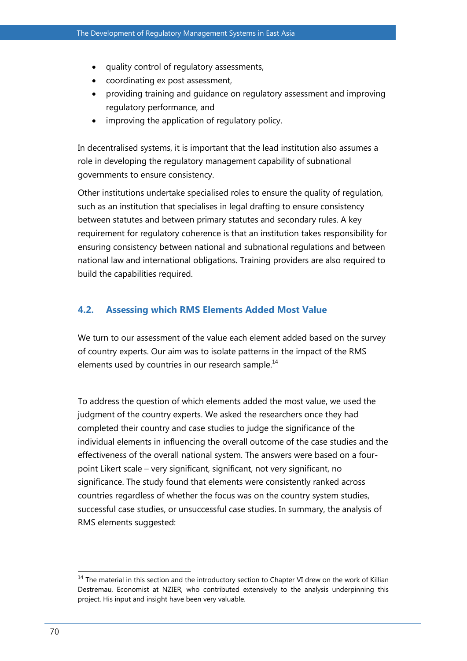- quality control of regulatory assessments,
- coordinating ex post assessment,
- providing training and guidance on regulatory assessment and improving regulatory performance, and
- improving the application of regulatory policy.

In decentralised systems, it is important that the lead institution also assumes a role in developing the regulatory management capability of subnational governments to ensure consistency.

Other institutions undertake specialised roles to ensure the quality of regulation, such as an institution that specialises in legal drafting to ensure consistency between statutes and between primary statutes and secondary rules. A key requirement for regulatory coherence is that an institution takes responsibility for ensuring consistency between national and subnational regulations and between national law and international obligations. Training providers are also required to build the capabilities required.

### **4.2. Assessing which RMS Elements Added Most Value**

We turn to our assessment of the value each element added based on the survey of country experts. Our aim was to isolate patterns in the impact of the RMS elements used by countries in our research sample. $^{14}$ 

To address the question of which elements added the most value, we used the judgment of the country experts. We asked the researchers once they had completed their country and case studies to judge the significance of the individual elements in influencing the overall outcome of the case studies and the effectiveness of the overall national system. The answers were based on a fourpoint Likert scale – very significant, significant, not very significant, no significance. The study found that elements were consistently ranked across countries regardless of whether the focus was on the country system studies, successful case studies, or unsuccessful case studies. In summary, the analysis of RMS elements suggested:

 $\overline{a}$  $14$  The material in this section and the introductory section to Chapter VI drew on the work of Killian Destremau, Economist at NZIER, who contributed extensively to the analysis underpinning this project. His input and insight have been very valuable.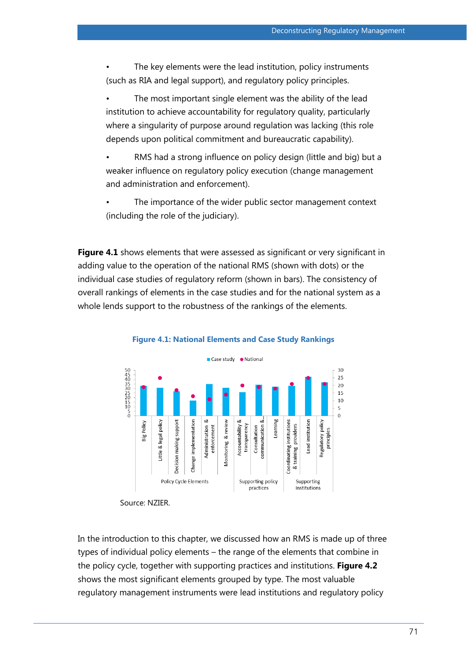The key elements were the lead institution, policy instruments (such as RIA and legal support), and regulatory policy principles.

The most important single element was the ability of the lead institution to achieve accountability for regulatory quality, particularly where a singularity of purpose around regulation was lacking (this role depends upon political commitment and bureaucratic capability).

• RMS had a strong influence on policy design (little and big) but a weaker influence on regulatory policy execution (change management and administration and enforcement).

The importance of the wider public sector management context (including the role of the judiciary).

**Figure 4.1** shows elements that were assessed as significant or very significant in adding value to the operation of the national RMS (shown with dots) or the individual case studies of regulatory reform (shown in bars). The consistency of overall rankings of elements in the case studies and for the national system as a whole lends support to the robustness of the rankings of the elements.





In the introduction to this chapter, we discussed how an RMS is made up of three types of individual policy elements – the range of the elements that combine in the policy cycle, together with supporting practices and institutions. **Figure 4.2** shows the most significant elements grouped by type. The most valuable regulatory management instruments were lead institutions and regulatory policy

Source: NZIER.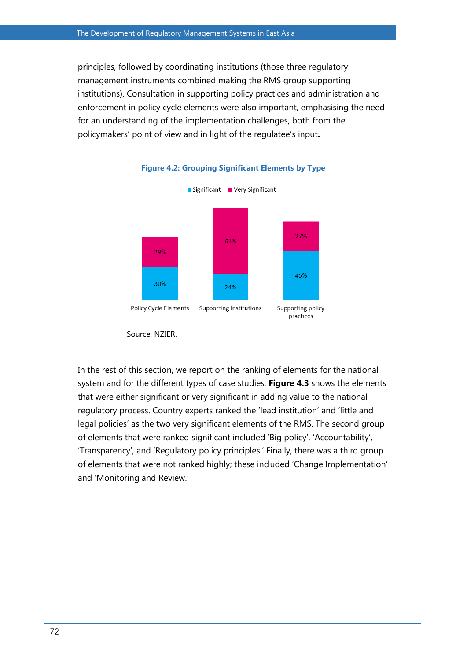principles, followed by coordinating institutions (those three regulatory management instruments combined making the RMS group supporting institutions). Consultation in supporting policy practices and administration and enforcement in policy cycle elements were also important, emphasising the need for an understanding of the implementation challenges, both from the policymakers' point of view and in light of the regulatee's input**.**



#### **Figure 4.2: Grouping Significant Elements by Type**

In the rest of this section, we report on the ranking of elements for the national system and for the different types of case studies. **Figure 4.3** shows the elements that were either significant or very significant in adding value to the national regulatory process. Country experts ranked the 'lead institution' and 'little and legal policies' as the two very significant elements of the RMS. The second group of elements that were ranked significant included 'Big policy', 'Accountability', 'Transparency', and 'Regulatory policy principles.' Finally, there was a third group of elements that were not ranked highly; these included 'Change Implementation' and 'Monitoring and Review.'

Source: NZIER.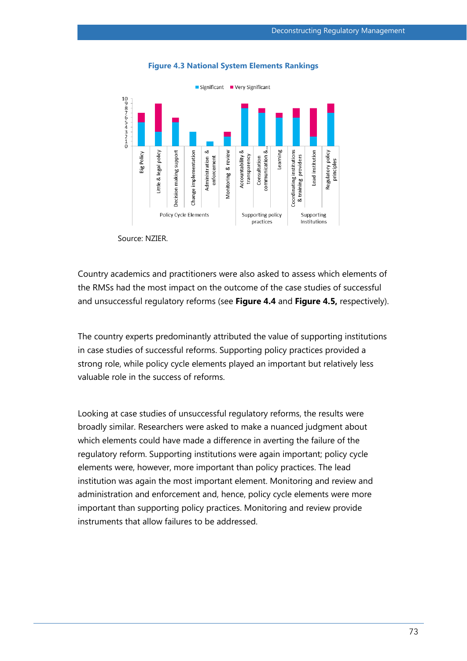

#### **Figure 4.3 National System Elements Rankings**

Source: NZIER.

Country academics and practitioners were also asked to assess which elements of the RMSs had the most impact on the outcome of the case studies of successful and unsuccessful regulatory reforms (see **Figure 4.4** and **Figure 4.5,** respectively).

The country experts predominantly attributed the value of supporting institutions in case studies of successful reforms. Supporting policy practices provided a strong role, while policy cycle elements played an important but relatively less valuable role in the success of reforms.

Looking at case studies of unsuccessful regulatory reforms, the results were broadly similar. Researchers were asked to make a nuanced judgment about which elements could have made a difference in averting the failure of the regulatory reform. Supporting institutions were again important; policy cycle elements were, however, more important than policy practices. The lead institution was again the most important element. Monitoring and review and administration and enforcement and, hence, policy cycle elements were more important than supporting policy practices. Monitoring and review provide instruments that allow failures to be addressed.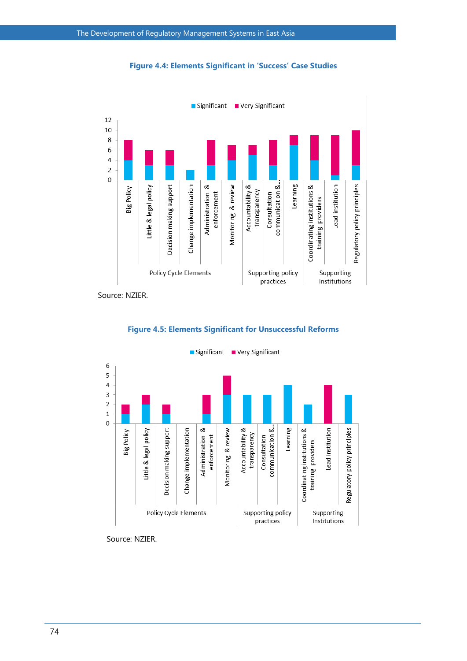

**Figure 4.4: Elements Significant in 'Success' Case Studies**

Source: NZIER.





Significant Very Significant

Source: NZIER.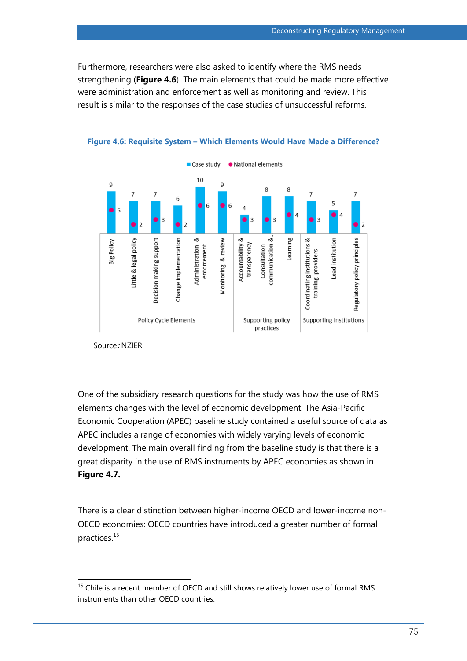Furthermore, researchers were also asked to identify where the RMS needs strengthening (**Figure 4.6**). The main elements that could be made more effective were administration and enforcement as well as monitoring and review. This result is similar to the responses of the case studies of unsuccessful reforms.





One of the subsidiary research questions for the study was how the use of RMS elements changes with the level of economic development. The Asia-Pacific Economic Cooperation (APEC) baseline study contained a useful source of data as APEC includes a range of economies with widely varying levels of economic development. The main overall finding from the baseline study is that there is a great disparity in the use of RMS instruments by APEC economies as shown in **Figure 4.7.**

There is a clear distinction between higher-income OECD and lower-income non-OECD economies: OECD countries have introduced a greater number of formal practices.<sup>15</sup>

Source**:** NZIER.

 $\overline{a}$  $<sup>15</sup>$  Chile is a recent member of OECD and still shows relatively lower use of formal RMS</sup> instruments than other OECD countries.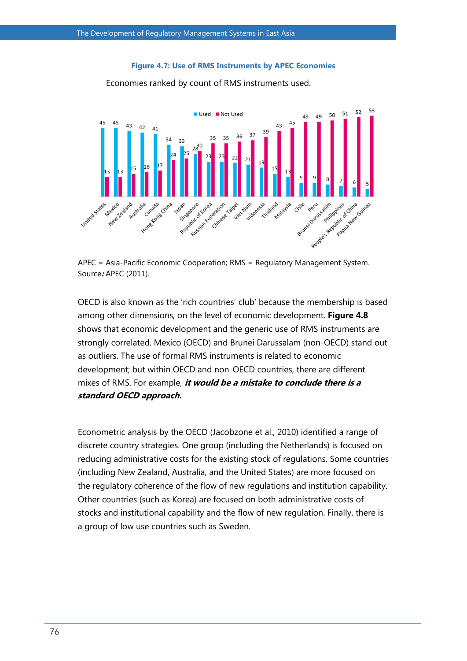#### **Figure 4.7: Use of RMS Instruments by APEC Economies**



Economies ranked by count of RMS instruments used.

APEC = Asia-Pacific Economic Cooperation; RMS = Regulatory Management System. Source**:** APEC (2011).

OECD is also known as the 'rich countries' club' because the membership is based among other dimensions, on the level of economic development. **Figure 4.8** shows that economic development and the generic use of RMS instruments are strongly correlated. Mexico (OECD) and Brunei Darussalam (non-OECD) stand out as outliers. The use of formal RMS instruments is related to economic development; but within OECD and non-OECD countries, there are different mixes of RMS. For example, **it would be a mistake to conclude there is a standard OECD approach.**

Econometric analysis by the OECD (Jacobzone et al., 2010) identified a range of discrete country strategies. One group (including the Netherlands) is focused on reducing administrative costs for the existing stock of regulations. Some countries (including New Zealand, Australia, and the United States) are more focused on the regulatory coherence of the flow of new regulations and institution capability. Other countries (such as Korea) are focused on both administrative costs of stocks and institutional capability and the flow of new regulation. Finally, there is a group of low use countries such as Sweden.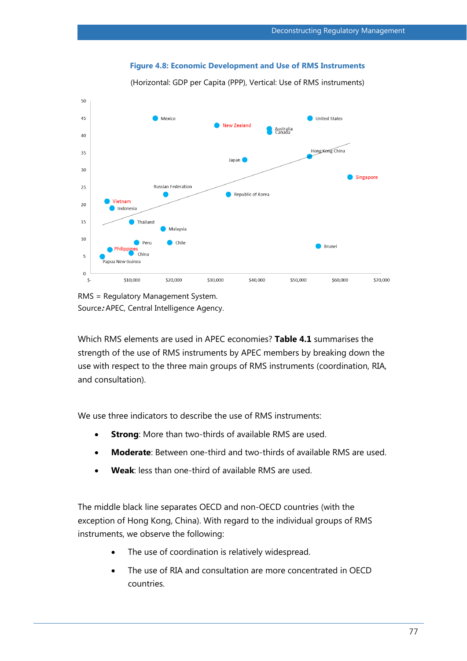#### **Figure 4.8: Economic Development and Use of RMS Instruments**

(Horizontal: GDP per Capita (PPP), Vertical: Use of RMS instruments)



RMS = Regulatory Management System. Source**:** APEC, Central Intelligence Agency.

Which RMS elements are used in APEC economies? **Table 4.1** summarises the strength of the use of RMS instruments by APEC members by breaking down the use with respect to the three main groups of RMS instruments (coordination, RIA, and consultation).

We use three indicators to describe the use of RMS instruments:

- **Strong**: More than two-thirds of available RMS are used.
- **Moderate**: Between one-third and two-thirds of available RMS are used.
- **Weak**: less than one-third of available RMS are used.

The middle black line separates OECD and non-OECD countries (with the exception of Hong Kong, China). With regard to the individual groups of RMS instruments, we observe the following:

- The use of coordination is relatively widespread.
- The use of RIA and consultation are more concentrated in OECD countries.